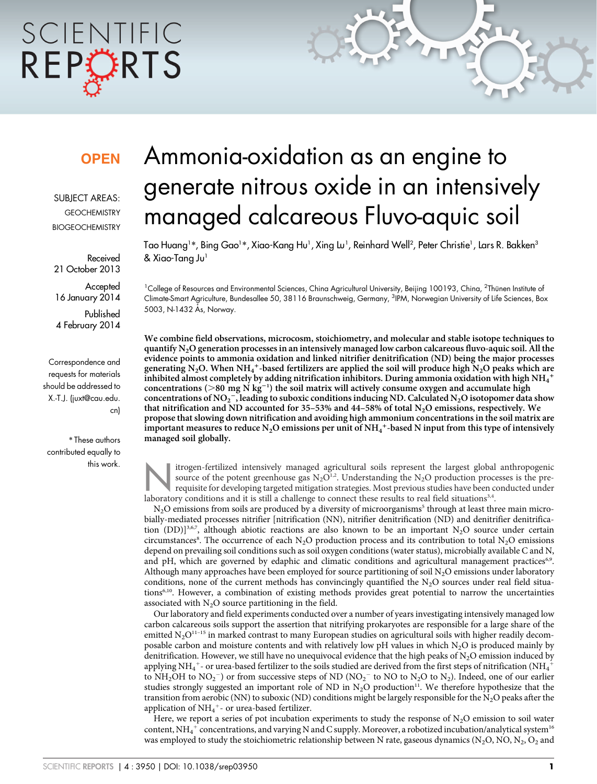# SCIENTIFIC REPORTS

# **OPEN**

SUBJECT AREAS: **GEOCHEMISTRY BIOGEOCHEMISTRY** 

Received 21 October 2013

**Accepted** 16 January 2014

Published 4 February 2014

Correspondence and requests for materials should be addressed to X.-T.J. (juxt@cau.edu. cn)

\* These authors contributed equally to this work.

# Ammonia-oxidation as an engine to generate nitrous oxide in an intensively managed calcareous Fluvo-aquic soil

Tao Huang1\*, Bing Gao1\*, Xiao-Kang Hu1, Xing Lu1, Reinhard Well<sup>2</sup>, Peter Christie1, Lars R. Bakken<sup>3</sup> & Xiao-Tang Ju<sup>1</sup>

<sup>1</sup>College of Resources and Environmental Sciences, China Agricultural University, Beijing 100193, China, <sup>2</sup>Thünen Institute ol Climate-Smart Agriculture, Bundesallee 50, 38116 Braunschweig, Germany, <sup>3</sup>IPM, Norwegian University of Life Sciences, Box 5003, N-1432 Ås, Norway.

We combine field observations, microcosm, stoichiometry, and molecular and stable isotope techniques to quantify N2O generation processes in an intensively managed low carbon calcareous fluvo-aquic soil. All the evidence points to ammonia oxidation and linked nitrifier denitrification (ND) being the major processes generating N<sub>2</sub>O. When NH<sub>4</sub><sup>+</sup>-based fertilizers are applied the soil will produce high N<sub>2</sub>O peaks which are inhibited almost completely by adding nitrification inhibitors. During ammonia oxidation with high NH $_4\hbox{{\small -}}$ concentrations ( $>80$  mg N kg<sup>-1</sup>) the soil matrix will actively consume oxygen and accumulate high concentrations of NO<sub>2</sub><sup>-</sup>, leading to suboxic conditions inducing ND. Calculated N<sub>2</sub>O isotopomer data show that nitrification and ND accounted for 35-53% and 44-58% of total  $N_2O$  emissions, respectively. We propose that slowing down nitrification and avoiding high ammonium concentrations in the soil matrix are important measures to reduce N<sub>2</sub>O emissions per unit of NH<sub>4</sub><sup>+</sup>-based N input from this type of intensively managed soil globally.

itrogen-fertilized intensively managed agricultural soils represent the largest global anthropogenic<br>source of the potent greenhouse gas  $N_2O^{1.2}$ . Understanding the  $N_2O$  production processes is the pre-<br>requisite for source of the potent greenhouse gas  $N_2O^{1,2}$ . Understanding the  $N_2O$  production processes is the prerequisite for developing targeted mitigation strategies. Most previous studies have been conducted under laboratory conditions and it is still a challenge to connect these results to real field situations $3,4$ .

 $N<sub>2</sub>O$  emissions from soils are produced by a diversity of microorganisms<sup>5</sup> through at least three main microbially-mediated processes nitrifier [nitrification (NN), nitrifier denitrification (ND) and denitrifier denitrification (DD)]<sup>3,6,7</sup>, although abiotic reactions are also known to be an important N<sub>2</sub>O source under certain circumstances<sup>8</sup>. The occurrence of each N<sub>2</sub>O production process and its contribution to total N<sub>2</sub>O emissions depend on prevailing soil conditions such as soil oxygen conditions (water status), microbially available C and N, and pH, which are governed by edaphic and climatic conditions and agricultural management practices<sup>6,9</sup>. Although many approaches have been employed for source partitioning of soil  $N_2O$  emissions under laboratory conditions, none of the current methods has convincingly quantified the  $N_2O$  sources under real field situations6,10. However, a combination of existing methods provides great potential to narrow the uncertainties associated with  $N_2O$  source partitioning in the field.

Our laboratory and field experiments conducted over a number of years investigating intensively managed low carbon calcareous soils support the assertion that nitrifying prokaryotes are responsible for a large share of the emitted  $N_2O^{11-15}$  in marked contrast to many European studies on agricultural soils with higher readily decomposable carbon and moisture contents and with relatively low  $pH$  values in which N<sub>2</sub>O is produced mainly by denitrification. However, we still have no unequivocal evidence that the high peaks of  $N_2O$  emission induced by applying NH<sub>4</sub><sup>+</sup>- or urea-based fertilizer to the soils studied are derived from the first steps of nitrification (NH<sub>4</sub><sup>+</sup> to NH<sub>2</sub>OH to NO<sub>2</sub><sup>-</sup>) or from successive steps of ND (NO<sub>2</sub><sup>-</sup> to NO to N<sub>2</sub>O to N<sub>2</sub>). Indeed, one of our earlier studies strongly suggested an important role of ND in  $N_2O$  production<sup>11</sup>. We therefore hypothesize that the transition from aerobic (NN) to suboxic (ND) conditions might be largely responsible for the N<sub>2</sub>O peaks after the application of  $NH_4^+$ - or urea-based fertilizer.

Here, we report a series of pot incubation experiments to study the response of  $N_2O$  emission to soil water content,  $\rm NH_4^+$  concentrations, and varying N and C supply. Moreover, a robotized incubation/analytical system  $^{\rm 16}$ was employed to study the stoichiometric relationship between N rate, gaseous dynamics (N<sub>2</sub>O, NO, N<sub>2</sub>, O<sub>2</sub> and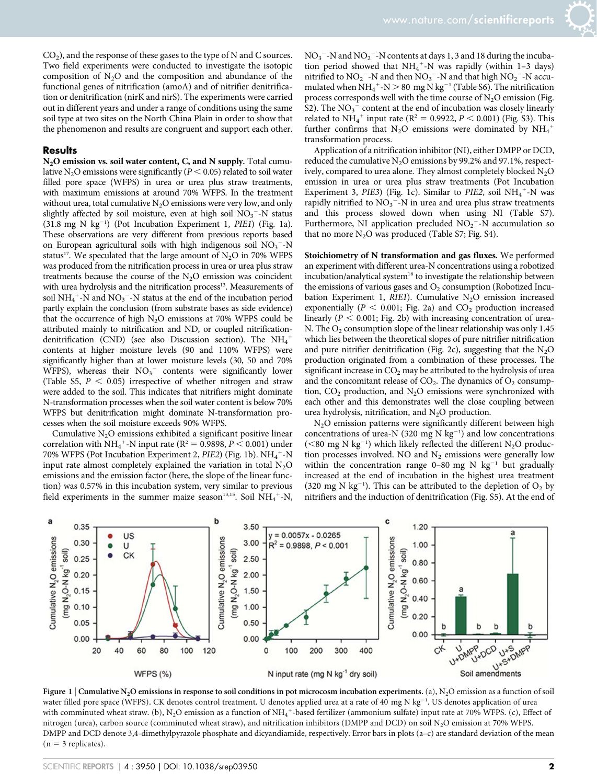$CO<sub>2</sub>$ ), and the response of these gases to the type of N and C sources. Two field experiments were conducted to investigate the isotopic composition of  $N_2O$  and the composition and abundance of the functional genes of nitrification (amoA) and of nitrifier denitrification or denitrification (nirK and nirS). The experiments were carried out in different years and under a range of conditions using the same soil type at two sites on the North China Plain in order to show that the phenomenon and results are congruent and support each other.

#### **Results**

N<sub>2</sub>O emission vs. soil water content, C, and N supply. Total cumulative N<sub>2</sub>O emissions were significantly ( $P < 0.05$ ) related to soil water filled pore space (WFPS) in urea or urea plus straw treatments, with maximum emissions at around 70% WFPS. In the treatment without urea, total cumulative  $N<sub>2</sub>O$  emissions were very low, and only slightly affected by soil moisture, even at high soil  $NO<sub>3</sub><sup>-</sup>-N$  status  $(31.8 \text{ mg N kg}^{-1})$  (Pot Incubation Experiment 1, PIE1) (Fig. 1a). These observations are very different from previous reports based on European agricultural soils with high indigenous soil  $NO<sub>3</sub><sup>-</sup>-N$ status<sup>17</sup>. We speculated that the large amount of  $N_2O$  in 70% WFPS was produced from the nitrification process in urea or urea plus straw treatments because the course of the  $N_2O$  emission was coincident with urea hydrolysis and the nitrification process<sup>13</sup>. Measurements of soil  $NH_4^+$ -N and  $NO_3^-$ -N status at the end of the incubation period partly explain the conclusion (from substrate bases as side evidence) that the occurrence of high  $N_2O$  emissions at 70% WFPS could be attributed mainly to nitrification and ND, or coupled nitrificationdenitrification (CND) (see also Discussion section). The  $\mathrm{NH}_4^+$ contents at higher moisture levels (90 and 110% WFPS) were significantly higher than at lower moisture levels (30, 50 and 70% WFPS), whereas their  $NO<sub>3</sub><sup>-</sup>$  contents were significantly lower (Table S5,  $P < 0.05$ ) irrespective of whether nitrogen and straw were added to the soil. This indicates that nitrifiers might dominate N-transformation processes when the soil water content is below 70% WFPS but denitrification might dominate N-transformation processes when the soil moisture exceeds 90% WFPS.

Cumulative  $N<sub>2</sub>O$  emissions exhibited a significant positive linear correlation with NH<sub>4</sub><sup>+</sup>-N input rate ( $R^2 = 0.9898, P < 0.001$ ) under 70% WFPS (Pot Incubation Experiment 2, PIE2) (Fig. 1b). NH<sub>4</sub><sup>+</sup>-N input rate almost completely explained the variation in total  $N<sub>2</sub>O$ emissions and the emission factor (here, the slope of the linear function) was 0.57% in this incubation system, very similar to previous field experiments in the summer maize season<sup>13,15</sup>. Soil  $NH_4^{\,+}$ -N,

 $NO_3$ <sup>-</sup>-N and  $NO_2$ <sup>-</sup>-N contents at days 1, 3 and 18 during the incubation period showed that  $NH_4^+$ -N was rapidly (within 1-3 days) nitrified to  $NO_2$ <sup>-</sup>-N and then  $NO_3$ <sup>-</sup>-N and that high  $NO_2$ <sup>-</sup>-N accumulated when  $NH_4^+$ -N  $>$  80 mg N kg<sup>-1</sup> (Table S6). The nitrification process corresponds well with the time course of  $N_2O$  emission (Fig. S2). The  $NO<sub>3</sub><sup>-</sup>$  content at the end of incubation was closely linearly related to  $NH_4^+$  input rate ( $R^2 = 0.9922$ ,  $P < 0.001$ ) (Fig. S3). This further confirms that  $N_2O$  emissions were dominated by  $NH_4$ <sup>+</sup> transformation process.

Application of a nitrification inhibitor (NI), either DMPP or DCD, reduced the cumulative  $N_2O$  emissions by 99.2% and 97.1%, respectively, compared to urea alone. They almost completely blocked  $N_2O$ emission in urea or urea plus straw treatments (Pot Incubation Experiment 3, PIE3) (Fig. 1c). Similar to PIE2, soil  $NH_4^+$ -N was rapidly nitrified to  $NO<sub>3</sub><sup>-</sup>-N$  in urea and urea plus straw treatments and this process slowed down when using NI (Table S7). Furthermore, NI application precluded  $NO<sub>2</sub><sup>-</sup>-N$  accumulation so that no more  $N_2O$  was produced (Table S7; Fig. S4).

Stoichiometry of N transformation and gas fluxes. We performed an experiment with different urea-N concentrations using a robotized incubation/analytical system<sup>16</sup> to investigate the relationship between the emissions of various gases and  $O<sub>2</sub>$  consumption (Robotized Incubation Experiment 1,  $RIE1$ ). Cumulative N<sub>2</sub>O emission increased exponentially ( $P < 0.001$ ; Fig. 2a) and  $CO<sub>2</sub>$  production increased linearly  $(P < 0.001$ ; Fig. 2b) with increasing concentration of urea-N. The  $O_2$  consumption slope of the linear relationship was only 1.45 which lies between the theoretical slopes of pure nitrifier nitrification and pure nitrifier denitrification (Fig. 2c), suggesting that the  $N_2O$ production originated from a combination of these processes. The significant increase in  $CO<sub>2</sub>$  may be attributed to the hydrolysis of urea and the concomitant release of  $CO<sub>2</sub>$ . The dynamics of  $O<sub>2</sub>$  consumption,  $CO<sub>2</sub>$  production, and  $N<sub>2</sub>O$  emissions were synchronized with each other and this demonstrates well the close coupling between urea hydrolysis, nitrification, and  $N_2O$  production.

N<sub>2</sub>O emission patterns were significantly different between high concentrations of urea-N (320 mg N  $kg^{-1}$ ) and low concentrations (<80 mg N kg<sup>-1</sup>) which likely reflected the different N<sub>2</sub>O production processes involved. NO and  $N_2$  emissions were generally low within the concentration range  $0-80$  mg N kg<sup>-1</sup> but gradually increased at the end of incubation in the highest urea treatment (320 mg N  $kg^{-1}$ ). This can be attributed to the depletion of  $O_2$  by nitrifiers and the induction of denitrification (Fig. S5). At the end of



Figure 1 | Cumulative N<sub>2</sub>O emissions in response to soil conditions in pot microcosm incubation experiments. (a), N<sub>2</sub>O emission as a function of soil water filled pore space (WFPS). CK denotes control treatment. U denotes applied urea at a rate of 40 mg N kg<sup>-1</sup>. US denotes application of urea with comminuted wheat straw. (b), N<sub>2</sub>O emission as a function of NH<sub>4</sub><sup>+</sup>-based fertilizer (ammonium sulfate) input rate at 70% WFPS. (c), Effect of nitrogen (urea), carbon source (comminuted wheat straw), and nitrification inhibitors (DMPP and DCD) on soil N<sub>2</sub>O emission at 70% WFPS. DMPP and DCD denote 3,4-dimethylpyrazole phosphate and dicyandiamide, respectively. Error bars in plots (a–c) are standard deviation of the mean  $(n = 3$  replicates).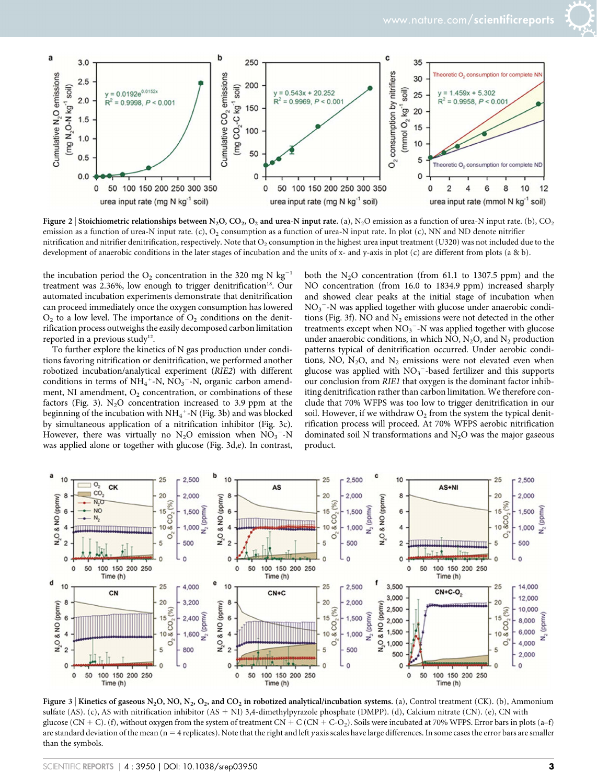

Figure 2 | Stoichiometric relationships between N<sub>2</sub>O, CO<sub>2</sub>, O<sub>2</sub> and urea-N input rate. (a), N<sub>2</sub>O emission as a function of urea-N input rate. (b), CO<sub>2</sub> emission as a function of urea-N input rate. (c),  $O_2$  consumption as a function of urea-N input rate. In plot (c), NN and ND denote nitrifier nitrification and nitrifier denitrification, respectively. Note that  $O_2$  consumption in the highest urea input treatment (U320) was not included due to the development of anaerobic conditions in the later stages of incubation and the units of x- and y-axis in plot (c) are different from plots (a & b).

the incubation period the  $O_2$  concentration in the 320 mg N kg<sup>-1</sup> treatment was 2.36%, low enough to trigger denitrification<sup>18</sup>. Our automated incubation experiments demonstrate that denitrification can proceed immediately once the oxygen consumption has lowered  $O<sub>2</sub>$  to a low level. The importance of  $O<sub>2</sub>$  conditions on the denitrification process outweighs the easily decomposed carbon limitation reported in a previous study<sup>12</sup>.

To further explore the kinetics of N gas production under conditions favoring nitrification or denitrification, we performed another robotized incubation/analytical experiment (RIE2) with different conditions in terms of  $NH_4$ <sup>+</sup>-N,  $NO_3$ <sup>-</sup>-N, organic carbon amendment, NI amendment,  $O_2$  concentration, or combinations of these factors (Fig. 3).  $N_2O$  concentration increased to 3.9 ppm at the beginning of the incubation with  $\mathrm{NH_4}^+$  -N (Fig. 3b) and was blocked by simultaneous application of a nitrification inhibitor (Fig. 3c). However, there was virtually no  $N_2O$  emission when  $NO_3^-$ -N was applied alone or together with glucose (Fig. 3d,e). In contrast,

both the  $N_2O$  concentration (from 61.1 to 1307.5 ppm) and the NO concentration (from 16.0 to 1834.9 ppm) increased sharply and showed clear peaks at the initial stage of incubation when NO<sub>3</sub><sup>-</sup>-N was applied together with glucose under anaerobic conditions (Fig. 3f). NO and  $N_2$  emissions were not detected in the other treatments except when  $NO<sub>3</sub><sup>-</sup>-N$  was applied together with glucose under anaerobic conditions, in which NO,  $N_2O$ , and  $N_2$  production patterns typical of denitrification occurred. Under aerobic conditions, NO,  $N_2O$ , and  $N_2$  emissions were not elevated even when glucose was applied with  $NO<sub>3</sub><sup>-</sup>$ -based fertilizer and this supports our conclusion from RIE1 that oxygen is the dominant factor inhibiting denitrification rather than carbon limitation. We therefore conclude that 70% WFPS was too low to trigger denitrification in our soil. However, if we withdraw  $O_2$  from the system the typical denitrification process will proceed. At 70% WFPS aerobic nitrification dominated soil N transformations and  $N_2O$  was the major gaseous product.



Figure 3 | Kinetics of gaseous N<sub>2</sub>O, NO, N<sub>2</sub>, O<sub>2</sub>, and CO<sub>2</sub> in robotized analytical/incubation systems. (a), Control treatment (CK). (b), Ammonium sulfate (AS). (c), AS with nitrification inhibitor (AS + NI) 3,4-dimethylpyrazole phosphate (DMPP). (d), Calcium nitrate (CN). (e), CN with glucose (CN + C). (f), without oxygen from the system of treatment CN + C (CN + C-O<sub>2</sub>). Soils were incubated at 70% WFPS. Error bars in plots (a–f) are standard deviation of the mean ( $n = 4$  replicates). Note that the right and left y axis scales have large differences. In some cases the error bars are smaller than the symbols.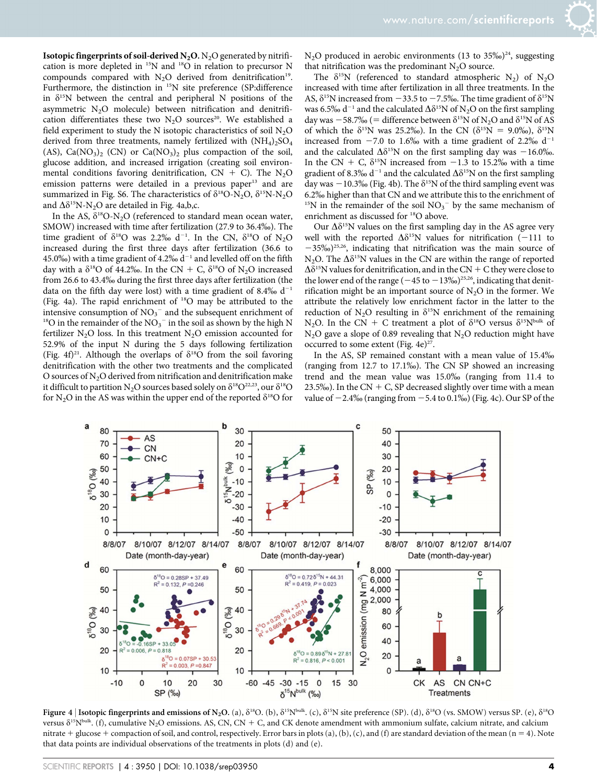**Isotopic fingerprints of soil-derived N<sub>2</sub>O.** N<sub>2</sub>O generated by nitrification is more depleted in 15N and 18O in relation to precursor N compounds compared with  $N_2O$  derived from denitrification<sup>19</sup>. Furthermore, the distinction in <sup>15</sup>N site preference (SP:difference in  $\delta^{15}N$  between the central and peripheral N positions of the asymmetric  $N_2O$  molecule) between nitrification and denitrification differentiates these two  $N_2O$  sources<sup>20</sup>. We established a field experiment to study the N isotopic characteristics of soil  $N_2O$ derived from three treatments, namely fertilized with  $(NH_4)_2SO_4$ (AS),  $Ca(NO<sub>3</sub>)<sub>2</sub>$  (CN) or  $Ca(NO<sub>3</sub>)<sub>2</sub>$  plus compaction of the soil, glucose addition, and increased irrigation (creating soil environmental conditions favoring denitrification,  $CN + C$ ). The N<sub>2</sub>O emission patterns were detailed in a previous paper<sup>13</sup> and are summarized in Fig. S6. The characteristics of  $\delta^{18}O-N_2O$ ,  $\delta^{15}N-N_2O$ and  $\Delta \delta^{15}N-N_2O$  are detailed in Fig. 4a,b,c.

In the AS,  $\delta^{18}O-N_2O$  (referenced to standard mean ocean water, SMOW) increased with time after fertilization (27.9 to 36.4%). The time gradient of  $\delta^{18}$ O was 2.2‰ d<sup>-1</sup>. In the CN,  $\delta^{18}$ O of N<sub>2</sub>O increased during the first three days after fertilization (36.6 to 45.0%) with a time gradient of 4.2%  $d^{-1}$  and levelled off on the fifth day with a  $\delta^{18}$ O of 44.2‰. In the CN + C,  $\delta^{18}$ O of N<sub>2</sub>O increased from 26.6 to 43.4‰ during the first three days after fertilization (the data on the fifth day were lost) with a time gradient of 8.4%  $d^{-1}$ (Fig. 4a). The rapid enrichment of 18O may be attributed to the intensive consumption of  $NO<sub>3</sub><sup>-</sup>$  and the subsequent enrichment of <sup>18</sup>O in the remainder of the  $NO_3^-$  in the soil as shown by the high N fertilizer  $N_2O$  loss. In this treatment  $N_2O$  emission accounted for 52.9% of the input N during the 5 days following fertilization (Fig. 4f)<sup>21</sup>. Although the overlaps of  $\delta^{18}O$  from the soil favoring denitrification with the other two treatments and the complicated O sources of N<sub>2</sub>O derived from nitrification and denitrification make it difficult to partition N<sub>2</sub>O sources based solely on  $\delta^{18}O^{22,23}$ , our  $\delta^{18}O$ for N<sub>2</sub>O in the AS was within the upper end of the reported  $\delta^{18}$ O for

 $N_2O$  produced in aerobic environments (13 to 35‰)<sup>24</sup>, suggesting that nitrification was the predominant  $N_2O$  source.

The  $\delta^{15}N$  (referenced to standard atmospheric N<sub>2</sub>) of N<sub>2</sub>O increased with time after fertilization in all three treatments. In the AS,  $\delta^{15}N$  increased from  $-33.5$  to  $-7.5\%$ . The time gradient of  $\delta^{15}N$ was 6.5% d<sup>-1</sup> and the calculated  $\Delta \delta^{15}N$  of N<sub>2</sub>O on the first sampling day was  $-58.7\%$  (= difference between  $\delta^{15}N$  of N<sub>2</sub>O and  $\delta^{15}N$  of AS of which the  $\delta^{15}N$  was 25.2%). In the CN ( $\delta^{15}N = 9.0\%$ ),  $\delta^{15}N$ increased from  $-7.0$  to 1.6% with a time gradient of 2.2% d<sup>-1</sup> and the calculated  $\Delta \delta^{15}N$  on the first sampling day was  $-16.0\%$ . In the CN + C,  $\delta^{15}$ N increased from -1.3 to 15.2% with a time gradient of 8.3‰ d<sup>-1</sup> and the calculated  $\Delta\delta$ <sup>15</sup>N on the first sampling day was  $-10.3\%$  (Fig. 4b). The  $\delta^{15}N$  of the third sampling event was 6.2% higher than that CN and we attribute this to the enrichment of <sup>15</sup>N in the remainder of the soil  $NO<sub>3</sub><sup>-</sup>$  by the same mechanism of enrichment as discussed for 18O above.

Our  $\Delta\delta^{15}N$  values on the first sampling day in the AS agree very well with the reported  $\Delta \delta^{15}N$  values for nitrification (-111 to  $-35\%$ <sup>25,26</sup>, indicating that nitrification was the main source of N<sub>2</sub>O. The  $\Delta\delta^{15}N$  values in the CN are within the range of reported  $\Delta\delta^{15}$ N values for denitrification, and in the CN + C they were close to the lower end of the range  $(-45 \text{ to } -13\%)$ <sup>25,26</sup>, indicating that denitrification might be an important source of  $N_2O$  in the former. We attribute the relatively low enrichment factor in the latter to the reduction of  $N_2O$  resulting in  $\delta^{15}N$  enrichment of the remaining N<sub>2</sub>O. In the CN + C treatment a plot of  $\delta^{18}$ O versus  $\delta^{15}N^{bulk}$  of  $N<sub>2</sub>O$  gave a slope of 0.89 revealing that  $N<sub>2</sub>O$  reduction might have occurred to some extent (Fig.  $4e^{27}$ .

In the AS, SP remained constant with a mean value of 15.4% (ranging from 12.7 to 17.1%). The CN SP showed an increasing trend and the mean value was 15.0% (ranging from 11.4 to 23.5‰). In the CN + C, SP decreased slightly over time with a mean value of  $-2.4\%$  (ranging from  $-5.4$  to 0.1%) (Fig. 4c). Our SP of the



Figure 4 | Isotopic fingerprints and emissions of N<sub>2</sub>O. (a),  $\delta^{18}O$ . (b),  $\delta^{15}N^{bulk}$ . (c),  $\delta^{15}N$  site preference (SP). (d),  $\delta^{18}O$  (vs. SMOW) versus SP. (e),  $\delta^{18}O$ versus  $\delta^{15}N^{bulk}$ . (f), cumulative N<sub>2</sub>O emissions. AS, CN, CN + C, and CK denote amendment with ammonium sulfate, calcium nitrate, and calcium nitrate + glucose + compaction of soil, and control, respectively. Error bars in plots (a), (b), (c), and (f) are standard deviation of the mean (n = 4). Note that data points are individual observations of the treatments in plots (d) and (e).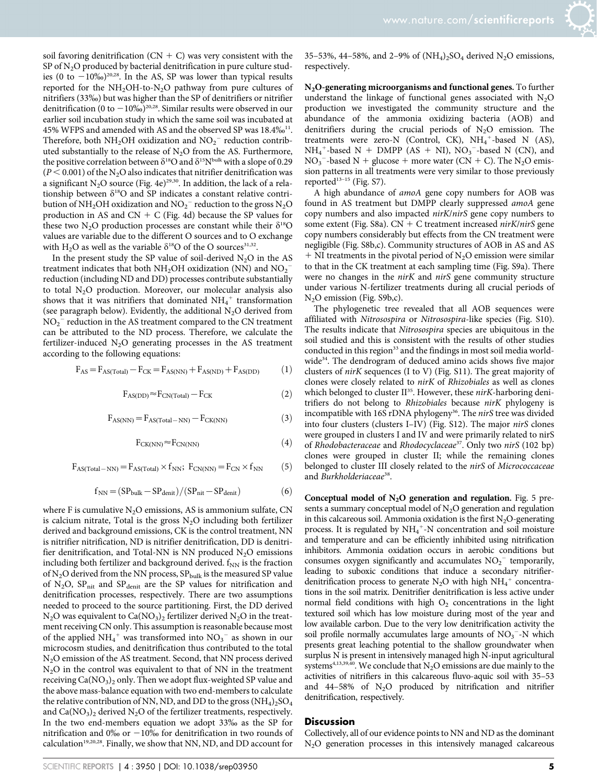soil favoring denitrification ( $CN + C$ ) was very consistent with the SP of  $N_2O$  produced by bacterial denitrification in pure culture studies (0 to  $-10\%$ <sub>0</sub>)<sup>20,28</sup>. In the AS, SP was lower than typical results reported for the  $NH<sub>2</sub>OH$ -to-N<sub>2</sub>O pathway from pure cultures of nitrifiers (33%) but was higher than the SP of denitrifiers or nitrifier denitrification (0 to  $-10\%$ )<sup>20,28</sup>. Similar results were observed in our earlier soil incubation study in which the same soil was incubated at 45% WFPS and amended with AS and the observed SP was 18.4%<sup>11</sup>. Therefore, both  $NH<sub>2</sub>OH$  oxidization and  $NO<sub>2</sub><sup>-</sup>$  reduction contributed substantially to the release of  $N<sub>2</sub>O$  from the AS. Furthermore, the positive correlation between  $\delta^{18}$ O and  $\delta^{15}N^{bulk}$  with a slope of 0.29  $(P < 0.001)$  of the N<sub>2</sub>O also indicates that nitrifier denitrification was a significant N<sub>2</sub>O source (Fig. 4e)<sup>29,30</sup>. In addition, the lack of a relationship between  $\delta^{18}O$  and SP indicates a constant relative contribution of NH<sub>2</sub>OH oxidization and  $\rm NO_2^-$  reduction to the gross  $\rm N_2O$ production in AS and  $CN + C$  (Fig. 4d) because the SP values for these two N<sub>2</sub>O production processes are constant while their  $\delta^{18}O$ values are variable due to the different O sources and to O exchange with H<sub>2</sub>O as well as the variable  $\delta^{18}$ O of the O sources<sup>31,32</sup>.

In the present study the SP value of soil-derived  $N_2O$  in the AS treatment indicates that both  $NH<sub>2</sub>OH$  oxidization (NN) and  $NO<sub>2</sub>$ reduction (including ND and DD) processes contribute substantially to total N<sub>2</sub>O production. Moreover, our molecular analysis also shows that it was nitrifiers that dominated  $\mathrm{NH}_4{}^+$  transformation (see paragraph below). Evidently, the additional  $N_2O$  derived from  $\rm NO_2^-$  reduction in the AS treatment compared to the CN treatment can be attributed to the ND process. Therefore, we calculate the fertilizer-induced  $N_2O$  generating processes in the AS treatment according to the following equations:

$$
F_{AS} = F_{AS(Total)} - F_{CK} = F_{AS(NN)} + F_{AS(ND)} + F_{AS(DD)}
$$
(1)

$$
F_{AS(DD)} \approx F_{CN(Total)} - F_{CK}
$$
 (2)

$$
F_{AS(NN)} = F_{AS(Total - NN)} - F_{CK(NN)} \tag{3}
$$

$$
F_{CK(NN)} \approx F_{CN(NN)} \tag{4}
$$

 $F_{AS(Total-NN)} = F_{AS(Total)} \times f_{NN}; F_{CN(NN)} = F_{CN} \times f_{NN}$  (5)

$$
f_{NN} = (SP_{bulk} - SP_{denit})/(SP_{nit} - SP_{denit})
$$
 (6)

where F is cumulative  $N_2O$  emissions, AS is ammonium sulfate, CN is calcium nitrate, Total is the gross  $N_2O$  including both fertilizer derived and background emissions, CK is the control treatment, NN is nitrifier nitrification, ND is nitrifier denitrification, DD is denitrifier denitrification, and Total-NN is NN produced  $N_2O$  emissions including both fertilizer and background derived.  $f_{NN}$  is the fraction of N<sub>2</sub>O derived from the NN process,  $SP_{bulk}$  is the measured SP value of  $N_2O$ ,  $SP<sub>nit</sub>$  and  $SP<sub>dent</sub>$  are the SP values for nitrification and denitrification processes, respectively. There are two assumptions needed to proceed to the source partitioning. First, the DD derived  $N_2O$  was equivalent to  $Ca(NO_3)_2$  fertilizer derived  $N_2O$  in the treatment receiving CN only. This assumption is reasonable because most of the applied  $NH_4^+$  was transformed into  $NO_3^-$  as shown in our microcosm studies, and denitrification thus contributed to the total N2O emission of the AS treatment. Second, that NN process derived  $N<sub>2</sub>O$  in the control was equivalent to that of NN in the treatment receiving  $Ca(NO<sub>3</sub>)<sub>2</sub>$  only. Then we adopt flux-weighted SP value and the above mass-balance equation with two end-members to calculate the relative contribution of NN, ND, and DD to the gross  $(NH_4)_2SO_4$ and  $Ca(NO<sub>3</sub>)<sub>2</sub>$  derived N<sub>2</sub>O of the fertilizer treatments, respectively. In the two end-members equation we adopt 33% as the SP for nitrification and  $0\%$  or  $-10\%$  for denitrification in two rounds of calculation<sup>19,20,28</sup>. Finally, we show that NN, ND, and DD account for

35–53%, 44–58%, and 2–9% of  $(NH_4)_2SO_4$  derived N<sub>2</sub>O emissions, respectively.

N2O-generating microorganisms and functional genes. To further understand the linkage of functional genes associated with  $N_2O$ production we investigated the community structure and the abundance of the ammonia oxidizing bacteria (AOB) and denitrifiers during the crucial periods of  $N_2O$  emission. The treatments were zero-N (Control, CK),  $NH_4^+$ -based N (AS),  $NH_4^+$ -based N + DMPP (AS + NI),  $NO_3^-$ -based N (CN), and  $NO<sub>3</sub>$ <sup>-</sup>-based N + glucose + more water (CN + C). The N<sub>2</sub>O emission patterns in all treatments were very similar to those previously reported<sup>13-15</sup> (Fig. S7).

A high abundance of amoA gene copy numbers for AOB was found in AS treatment but DMPP clearly suppressed amoA gene copy numbers and also impacted nirK/nirS gene copy numbers to some extent (Fig. S8a).  $CN + C$  treatment increased *nirK/nirS* gene copy numbers considerably but effects from the CN treatment were negligible (Fig. S8b,c). Community structures of AOB in AS and AS  $+$  NI treatments in the pivotal period of N<sub>2</sub>O emission were similar to that in the CK treatment at each sampling time (Fig. S9a). There were no changes in the *nirK* and *nirS* gene community structure under various N-fertilizer treatments during all crucial periods of N<sub>2</sub>O emission (Fig. S9b,c).

The phylogenetic tree revealed that all AOB sequences were affiliated with Nitrosospira or Nitrosospira-like species (Fig. S10). The results indicate that Nitrosospira species are ubiquitous in the soil studied and this is consistent with the results of other studies conducted in this region<sup>33</sup> and the findings in most soil media worldwide<sup>34</sup>. The dendrogram of deduced amino acids shows five major clusters of nirK sequences (I to V) (Fig. S11). The great majority of clones were closely related to nirK of Rhizobiales as well as clones which belonged to cluster  $II^{35}$ . However, these nirK-harboring denitrifiers do not belong to Rhizobiales because nirK phylogeny is incompatible with 16S rDNA phylogeny<sup>36</sup>. The nirS tree was divided into four clusters (clusters I–IV) (Fig. S12). The major nirS clones were grouped in clusters I and IV and were primarily related to nirS of Rhodobacteraceae and Rhodocyclaceae<sup>37</sup>. Only two nirS (102 bp) clones were grouped in cluster II; while the remaining clones belonged to cluster III closely related to the nirS of Micrococcaceae and Burkholderiaceae<sup>38</sup>.

Conceptual model of  $N_2O$  generation and regulation. Fig. 5 presents a summary conceptual model of  $N_2O$  generation and regulation in this calcareous soil. Ammonia oxidation is the first  $N_2O$ -generating process. It is regulated by  $NH_4^+$ -N concentration and soil moisture and temperature and can be efficiently inhibited using nitrification inhibitors. Ammonia oxidation occurs in aerobic conditions but consumes oxygen significantly and accumulates  $NO<sub>2</sub><sup>-</sup>$  temporarily, leading to suboxic conditions that induce a secondary nitrifierdenitrification process to generate  $N_2O$  with high  $NH_4^+$  concentrations in the soil matrix. Denitrifier denitrification is less active under normal field conditions with high  $O<sub>2</sub>$  concentrations in the light textured soil which has low moisture during most of the year and low available carbon. Due to the very low denitrification activity the soil profile normally accumulates large amounts of  $NO<sub>3</sub><sup>-</sup>-N$  which presents great leaching potential to the shallow groundwater when surplus N is present in intensively managed high N-input agricultural systems<sup>4,13,39,40</sup>. We conclude that  $N_2O$  emissions are due mainly to the activities of nitrifiers in this calcareous fluvo-aquic soil with 35–53 and  $44-58\%$  of N<sub>2</sub>O produced by nitrification and nitrifier denitrification, respectively.

#### Discussion

Collectively, all of our evidence points to NN and ND as the dominant  $N<sub>2</sub>O$  generation processes in this intensively managed calcareous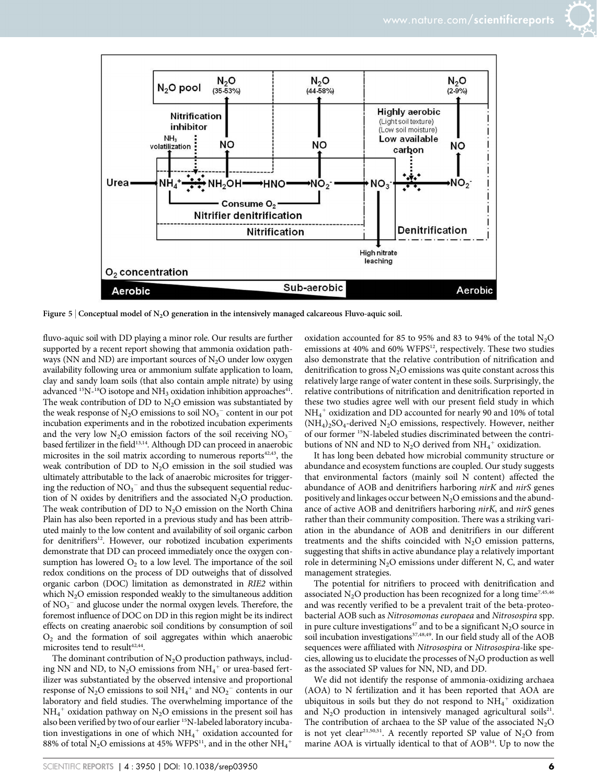

Figure 5 | Conceptual model of N<sub>2</sub>O generation in the intensively managed calcareous Fluvo-aquic soil.

fluvo-aquic soil with DD playing a minor role. Our results are further supported by a recent report showing that ammonia oxidation pathways (NN and ND) are important sources of  $N_2O$  under low oxygen availability following urea or ammonium sulfate application to loam, clay and sandy loam soils (that also contain ample nitrate) by using advanced  $^{15}N^{-18}O$  isotope and  $NH<sub>3</sub>$  oxidation inhibition approaches<sup>41</sup>. The weak contribution of DD to  $N<sub>2</sub>O$  emission was substantiated by the weak response of  $N_2O$  emissions to soil  $NO_3^-$  content in our pot incubation experiments and in the robotized incubation experiments and the very low  $N_2O$  emission factors of the soil receiving  $NO_3^$ based fertilizer in the field<sup>13,14</sup>. Although DD can proceed in anaerobic microsites in the soil matrix according to numerous reports<sup>42,43</sup>, the weak contribution of DD to  $N_2O$  emission in the soil studied was ultimately attributable to the lack of anaerobic microsites for triggering the reduction of  $\mathrm{NO_3}^-$  and thus the subsequent sequential reduction of N oxides by denitrifiers and the associated  $N_2O$  production. The weak contribution of DD to  $N<sub>2</sub>O$  emission on the North China Plain has also been reported in a previous study and has been attributed mainly to the low content and availability of soil organic carbon for denitrifiers<sup>12</sup>. However, our robotized incubation experiments demonstrate that DD can proceed immediately once the oxygen consumption has lowered  $O_2$  to a low level. The importance of the soil redox conditions on the process of DD outweighs that of dissolved organic carbon (DOC) limitation as demonstrated in RIE2 within which  $N_2O$  emission responded weakly to the simultaneous addition of NO<sub>3</sub><sup>-</sup> and glucose under the normal oxygen levels. Therefore, the foremost influence of DOC on DD in this region might be its indirect effects on creating anaerobic soil conditions by consumption of soil  $O<sub>2</sub>$  and the formation of soil aggregates within which anaerobic microsites tend to result<sup>42,44</sup>.

The dominant contribution of  $N_2O$  production pathways, including NN and ND, to  $N_2O$  emissions from  $NH_4^+$  or urea-based fertilizer was substantiated by the observed intensive and proportional response of N<sub>2</sub>O emissions to soil NH<sub>4</sub><sup>+</sup> and NO<sub>2</sub><sup>-</sup> contents in our laboratory and field studies. The overwhelming importance of the  $NH_4^+$  oxidation pathway on  $N_2O$  emissions in the present soil has also been verified by two of our earlier <sup>15</sup>N-labeled laboratory incubation investigations in one of which  $NH_4^+$  oxidation accounted for 88% of total N<sub>2</sub>O emissions at 45% WFPS<sup>11</sup>, and in the other  $\mathrm{NH_4}^+$ 

oxidation accounted for 85 to 95% and 83 to 94% of the total  $N_2O$ emissions at 40% and 60% WFPS<sup>12</sup>, respectively. These two studies also demonstrate that the relative contribution of nitrification and denitrification to gross  $N_2O$  emissions was quite constant across this relatively large range of water content in these soils. Surprisingly, the relative contributions of nitrification and denitrification reported in these two studies agree well with our present field study in which  $\mathrm{NH_4}^+$  oxidization and DD accounted for nearly 90 and 10% of total  $(NH_4)$ <sub>2</sub>SO<sub>4</sub>-derived N<sub>2</sub>O emissions, respectively. However, neither of our former 15N-labeled studies discriminated between the contributions of NN and ND to  $N_2O$  derived from  $NH_4^+$  oxidization.

It has long been debated how microbial community structure or abundance and ecosystem functions are coupled. Our study suggests that environmental factors (mainly soil N content) affected the abundance of AOB and denitrifiers harboring nirK and nirS genes positively and linkages occur between  $N_2O$  emissions and the abundance of active AOB and denitrifiers harboring nirK, and nirS genes rather than their community composition. There was a striking variation in the abundance of AOB and denitrifiers in our different treatments and the shifts coincided with  $N_2O$  emission patterns, suggesting that shifts in active abundance play a relatively important role in determining  $N_2O$  emissions under different N, C, and water management strategies.

The potential for nitrifiers to proceed with denitrification and associated  $N_2O$  production has been recognized for a long time<sup>7,45,46</sup> and was recently verified to be a prevalent trait of the beta-proteobacterial AOB such as Nitrosomonas europaea and Nitrosospira spp. in pure culture investigations<sup>47</sup> and to be a significant  $N_2O$  source in soil incubation investigations<sup>37,48,49</sup>. In our field study all of the AOB sequences were affiliated with Nitrosospira or Nitrosospira-like species, allowing us to elucidate the processes of  $N_2O$  production as well as the associated SP values for NN, ND, and DD.

We did not identify the response of ammonia-oxidizing archaea (AOA) to N fertilization and it has been reported that AOA are ubiquitous in soils but they do not respond to NH<sub>4</sub><sup>+</sup> oxidization and  $N_2O$  production in intensively managed agricultural soils<sup>21</sup>. The contribution of archaea to the SP value of the associated  $N_2O$ is not yet clear<sup>21,50,51</sup>. A recently reported SP value of  $N_2O$  from marine AOA is virtually identical to that of AOB34. Up to now the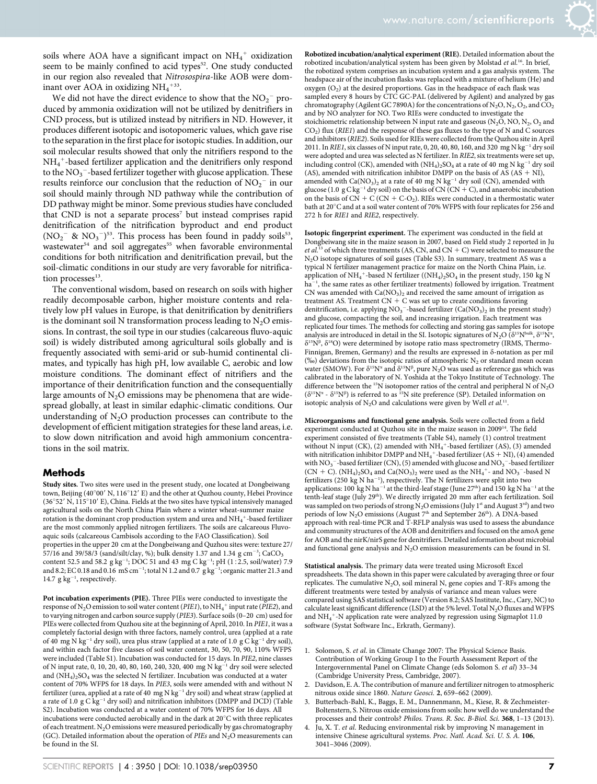soils where AOA have a significant impact on  $NH_4^+$  oxidization seem to be mainly confined to acid types<sup>52</sup>. One study conducted in our region also revealed that Nitrosospira-like AOB were dominant over AOA in oxidizing  $NH_4$ <sup>+33</sup>.

We did not have the direct evidence to show that the  $NO_2^-$  produced by ammonia oxidization will not be utilized by denitrifiers in CND process, but is utilized instead by nitrifiers in ND. However, it produces different isotopic and isotopomeric values, which gave rise to the separation in the first place for isotopic studies. In addition, our soil molecular results showed that only the nitrifiers respond to the NH4 <sup>1</sup>-based fertilizer application and the denitrifiers only respond to the  $\text{NO}_3^-$ -based fertilizer together with glucose application. These results reinforce our conclusion that the reduction of  $NO_2^-$  in our soil should mainly through ND pathway while the contribution of DD pathway might be minor. Some previous studies have concluded that CND is not a separate process<sup>7</sup> but instead comprises rapid denitrification of the nitrification byproduct and end product  $(NO<sub>2</sub><sup>-</sup> & NO<sub>3</sub><sup>-</sup>)<sup>53</sup>$ . This process has been found in paddy soils<sup>53</sup>, wastewater<sup>54</sup> and soil aggregates<sup>55</sup> when favorable environmental conditions for both nitrification and denitrification prevail, but the soil-climatic conditions in our study are very favorable for nitrification processes $13$ .

The conventional wisdom, based on research on soils with higher readily decomposable carbon, higher moisture contents and relatively low pH values in Europe, is that denitrification by denitrifiers is the dominant soil N transformation process leading to  $N<sub>2</sub>O$  emissions. In contrast, the soil type in our studies (calcareous fluvo-aquic soil) is widely distributed among agricultural soils globally and is frequently associated with semi-arid or sub-humid continental climates, and typically has high pH, low available C, aerobic and low moisture conditions. The dominant effect of nitrifiers and the importance of their denitrification function and the consequentially large amounts of  $N_2O$  emissions may be phenomena that are widespread globally, at least in similar edaphic-climatic conditions. Our understanding of  $N_2O$  production processes can contribute to the development of efficient mitigation strategies for these land areas, i.e. to slow down nitrification and avoid high ammonium concentrations in the soil matrix.

#### **Methods**

Study sites. Two sites were used in the present study, one located at Dongbeiwang town, Beijing (40°00' N, 116°12' E) and the other at Quzhou county, Hebei Province (36°52' N, 115°10' E), China. Fields at the two sites have typical intensively managed agricultural soils on the North China Plain where a winter wheat-summer maize rotation is the dominant crop production system and urea and  $\mathrm{NH}_4{}^+$  -based fertilizer are the most commonly applied nitrogen fertilizers. The soils are calcareous Fluvoaquic soils (calcareous Cambisols according to the FAO Classification). Soil properties in the upper 20 cm at the Dongbeiwang and Quzhou sites were: texture 27/ 57/16 and 39/58/3 (sand/silt/clay, %); bulk density 1.37 and 1.34  $\rm g$  cm<sup>-3</sup>; CaCO<sub>3</sub> content 52.5 and 58.2  $g kg^{-1}$ ; DOC 51 and 43 mg C kg<sup>-1</sup>; pH (1:2.5, soil/water) 7.9 and 8.2; EC 0.18 and 0.16  $mS cm^{-1}$ ; total N 1.2 and 0.7  $g kg^{-1}$ ; organic matter 21.3 and 14.7  $g kg^{-1}$ , respectively.

Pot incubation experiments (PIE). Three PIEs were conducted to investigate the response of N<sub>2</sub>O emission to soil water content (*PIE1*), to NH<sub>4</sub><sup>+</sup> input rate (*PIE2*), and to varying nitrogen and carbon source supply (PIE3). Surface soils (0–20 cm) used for PIEs were collected from Quzhou site at the beginning of April, 2010. In PIE1, it was a completely factorial design with three factors, namely control, urea (applied at a rate of 40 mg N kg<sup>-1</sup> dry soil), urea plus straw (applied at a rate of 1.0 g C kg<sup>-1</sup> dry soil), and within each factor five classes of soil water content, 30, 50, 70, 90, 110% WFPS were included (Table S1). Incubation was conducted for 15 days. In PIE2, nine classes of N input rate, 0, 10, 20, 40, 80, 160, 240, 320, 400 mg N kg<sup>-1</sup> dry soil were selected and  $(NH_4)_2SO_4$  was the selected N fertilizer. Incubation was conducted at a water content of 70% WFPS for 18 days. In PIE3, soils were amended with and without N fertilizer (urea, applied at a rate of 40 mg N kg<sup>-1</sup> dry soil) and wheat straw (applied at a rate of 1.0  $g C \kappa g^{-1}$  dry soil) and nitrification inhibitors (DMPP and DCD) (Table S2). Incubation was conducted at a water content of 70% WFPS for 16 days. All incubations were conducted aerobically and in the dark at  $20^{\circ}$ C with three replicates of each treatment.  $\rm N_2O$  emissions were measured periodically by gas chromatography (GC). Detailed information about the operation of PIEs and  $N_2O$  measurements can be found in the SI.

Robotized incubation/analytical experiment (RIE). Detailed information about the robotized incubation/analytical system has been given by Molstad et al.16. In brief, the robotized system comprises an incubation system and a gas analysis system. The headspace air of the incubation flasks was replaced with a mixture of helium (He) and oxygen  $(O_2)$  at the desired proportions. Gas in the headspace of each flask was sampled every 8 hours by CTC GC-PAL (delivered by Agilent) and analyzed by gas chromatography (Agilent GC 7890A) for the concentrations of  $N_2O$ ,  $N_2$ ,  $O_2$ , and  $CO_2$ and by NO analyzer for NO. Two RIEs were conducted to investigate the stoichiometric relationship between N input rate and gaseous ( $N_2O$ ,  $NO$ ,  $N_2$ ,  $O_2$  and CO2) flux (RIE1) and the response of these gas fluxes to the type of N and C sources and inhibitors (RIE2). Soils used for RIEs were collected from the Quzhou site in April 2011. In RIE1, six classes of N input rate, 0, 20, 40, 80, 160, and 320 mg N kg<sup>-1</sup> dry soil were adopted and urea was selected as N fertilizer. In RIE2, six treatments were set up, including control (CK), amended with  $(NH<sub>4</sub>)<sub>2</sub>SO<sub>4</sub>$  at a rate of 40 mg N kg<sup>-1</sup> dry soil (AS), amended with nitrification inhibitor DMPP on the basis of AS (AS + NI), amended with Ca(NO<sub>3</sub>)<sub>2</sub> at a rate of 40 mg N kg<sup>-1</sup> dry soil (CN), amended with glucose (1.0 g C kg<sup>-1</sup> dry soil) on the basis of CN (CN + C), and anaerobic incubation on the basis of  $\overline{CN} + \overline{C}$  ( $\overline{CN} + \overline{C}$ -O<sub>2</sub>). RIEs were conducted in a thermostatic water bath at 20 $^{\circ}$ C and at a soil water content of 70% WFPS with four replicates for 256 and 272 h for RIE1 and RIE2, respectively.

Isotopic fingerprint experiment. The experiment was conducted in the field at Dongbeiwang site in the maize season in 2007, based on Field study 2 reported in Ju et al.<sup>13</sup> of which three treatments (AS, CN, and CN + C) were selected to measure the N2O isotope signatures of soil gases (Table S3). In summary, treatment AS was a typical N fertilizer management practice for maize on the North China Plain, i.e. application of  $NH_4^+$ -based N fertilizer ((NH<sub>4</sub>)<sub>2</sub>SO<sub>4</sub> in the present study, 150 kg N ha<sup>-1</sup>, the same rates as other fertilizer treatments) followed by irrigation. Treatment CN was amended with  $Ca(NO<sub>3</sub>)$ <sub>2</sub> and received the same amount of irrigation as treatment AS. Treatment  $CN + C$  was set up to create conditions favoring denitrification, i.e. applying  $NO_3^-$ -based fertilizer  $(Ca(NO_3)_2$  in the present study) and glucose, compacting the soil, and increasing irrigation. Each treatment was replicated four times. The methods for collecting and storing gas samples for isotope analysis are introduced in detail in the SI. Isotopic signatures of N<sub>2</sub>O ( $\delta^{15}N^{bulk}$ ,  $\delta^{15}N^{\alpha}$ ,  $\delta^{15}N^{\beta}$ ,  $\delta^{18}O$ ) were determined by isotope ratio mass spectrometry (IRMS, Thermo-Finnigan, Bremen, Germany) and the results are expressed in  $\delta$ -notation as per mil (‰) deviations from the isotopic ratios of atmospheric  $N_2$  or standard mean ocean water (SMOW). For  $\delta^{15}N^{\alpha}$  and  $\delta^{15}N^{\beta}$ , pure N<sub>2</sub>O was used as reference gas which was calibrated in the laboratory of N. Yoshida at the Tokyo Institute of Technology. The difference between the <sup>15</sup>N isotopomer ratios of the central and peripheral N of N<sub>2</sub>O  $(\delta^{15}N^{\alpha} - \delta^{15}N^{\beta})$  is referred to as <sup>15</sup>N site preference (SP). Detailed information on isotopic analysis of  $N_2O$  and calculations were given by Well et al.<sup>11</sup>.

Microorganisms and functional gene analysis. Soils were collected from a field experiment conducted at Quzhou site in the maize season in 200914. The field experiment consisted of five treatments (Table S4), namely (1) control treatment without N input (CK), (2) amended with  $NH_4^+$ -based fertilizer (AS), (3) amended with nitrification inhibitor DMPP and  $\rm NH_4^+$  -based fertilizer (AS + NI), (4) amended with NO<sub>3</sub><sup>-</sup>-based fertilizer (CN), (5) amended with glucose and NO<sub>3</sub><sup>-</sup>-based fertilizer (CN + C).  $(NH_4)_2SO_4$  and  $Ca(NO_3)_2$  were used as the  $NH_4^+$ - and  $NO_3^-$ -based N fertilizers (250 kg N ha<sup>-1</sup>), respectively. The N fertilizers were split into two applications: 100 kg N ha<sup>-1</sup> at the third-leaf stage (June 27<sup>th</sup>) and 150 kg N ha<sup>-1</sup> at the tenth-leaf stage (July 29<sup>th</sup>). We directly irrigated 20 mm after each fertilization. Soil was sampled on two periods of strong  $N_2O$  emissions (July 1<sup>st</sup> and August 3<sup>rd</sup>) and two periods of low N<sub>2</sub>O emissions (August 7<sup>th</sup> and September 26<sup>th</sup>). A DNA-based approach with real-time PCR and T-RFLP analysis was used to assess the abundance and community structures of the AOB and denitrifiers and focused on the amoA gene for AOB and the nirK/nirS gene for denitrifiers. Detailed information about microbial and functional gene analysis and  $N_2O$  emission measurements can be found in SI.

Statistical analysis. The primary data were treated using Microsoft Excel spreadsheets. The data shown in this paper were calculated by averaging three or four replicates. The cumulative  $N_2O$ , soil mineral N, gene copies and T-RFs among the different treatments were tested by analysis of variance and mean values were compared using SAS statistical software (Version 8.2; SAS Institute, Inc., Cary, NC) to calculate least significant difference (LSD) at the 5% level. Total  $N_2O$  fluxes and WFPS and  $\mathrm{NH}_4{}^+$ -N application rate were analyzed by regression using Sigmaplot 11.0 software (Systat Software Inc., Erkrath, Germany).

- 1. Solomon, S. et al. in Climate Change 2007: The Physical Science Basis. Contribution of Working Group I to the Fourth Assessment Report of the Intergovernmental Panel on Climate Change (eds Solomon S. et al) 33–34 (Cambridge University Press, Cambridge, 2007).
- 2. Davidson, E. A. The contribution of manure and fertilizer nitrogen to atmospheric nitrous oxide since 1860. Nature Geosci. 2, 659–662 (2009).
- 3. Butterbach-Bahl, K., Baggs, E. M., Dannenmann, M., Kiese, R. & Zechmeister-Boltenstern, S. Nitrous oxide emissions from soils: how well do we understand the processes and their controls? Philos. Trans. R. Soc. B-Biol. Sci. 368, 1–13 (2013).
- 4. Ju, X. T. et al. Reducing environmental risk by improving N management in intensive Chinese agricultural systems. Proc. Natl. Acad. Sci. U. S. A. 106, 3041–3046 (2009).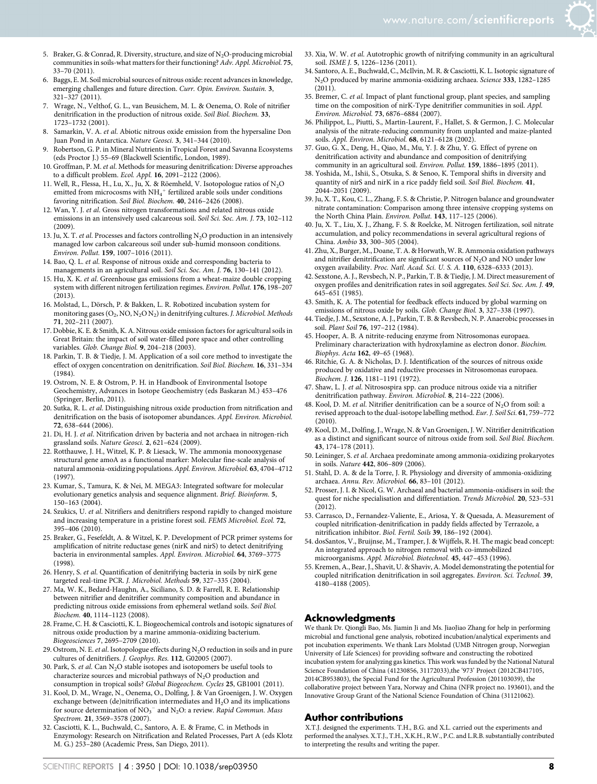- 5. Braker, G. & Conrad, R. Diversity, structure, and size of  $N_2O$ -producing microbial communities in soils-what matters for their functioning? Adv. Appl. Microbiol. 75, 33–70 (2011).
- 6. Baggs, E. M. Soil microbial sources of nitrous oxide: recent advances in knowledge, emerging challenges and future direction. Curr. Opin. Environ. Sustain. 3, 321–327 (2011).
- 7. Wrage, N., Velthof, G. L., van Beusichem, M. L. & Oenema, O. Role of nitrifier denitrification in the production of nitrous oxide. Soil Biol. Biochem. 33, 1723–1732 (2001).
- 8. Samarkin, V. A. et al. Abiotic nitrous oxide emission from the hypersaline Don Juan Pond in Antarctica. Nature Geosci. 3, 341–344 (2010).
- 9. Robertson, G. P. in Mineral Nutrients in Tropical Forest and Savanna Ecosystems (eds Proctor J.) 55–69 (Blackwell Scientific, London, 1989).
- 10. Groffman, P. M. et al. Methods for measuring denitrification: Diverse approaches to a difficult problem. Ecol. Appl.  $16$ , 2091-2122 (2006).
- 11. Well, R., Flessa, H., Lu, X., Ju, X. & Röemheld, V. Isotopologue ratios of  $N_2O$ emitted from microcosms with  $NH_4^+$  fertilized arable soils under conditions favoring nitrification. Soil Biol. Biochem. 40, 2416–2426 (2008).
- 12. Wan, Y. J. et al. Gross nitrogen transformations and related nitrous oxide emissions in an intensively used calcareous soil. Soil Sci. Soc. Am. J. 73, 102-112 (2009).
- 13. Ju, X. T. et al. Processes and factors controlling  $N_2O$  production in an intensively managed low carbon calcareous soil under sub-humid monsoon conditions. Environ. Pollut. 159, 1007–1016 (2011).
- 14. Bao, Q. L. et al. Response of nitrous oxide and corresponding bacteria to managements in an agricultural soil. Soil Sci. Soc. Am. J. 76, 130-141 (2012).
- 15. Hu, X. K. et al. Greenhouse gas emissions from a wheat-maize double cropping system with different nitrogen fertilization regimes. Environ. Pollut. 176, 198–207  $(2013)$ .
- 16. Molstad, L., Dörsch, P. & Bakken, L. R. Robotized incubation system for monitoring gases  $(O_2, NO, N_2ON_2)$  in denitrifying cultures. J. Microbiol. Methods 71, 202–211 (2007).
- 17. Dobbie, K. E. & Smith, K. A. Nitrous oxide emission factors for agricultural soils in Great Britain: the impact of soil water-filled pore space and other controlling variables. Glob. Change Biol. 9, 204–218 (2003).
- 18. Parkin, T. B. & Tiedje, J. M. Application of a soil core method to investigate the effect of oxygen concentration on denitrification. Soil Biol. Biochem. 16, 331–334 (1984).
- 19. Ostrom, N. E. & Ostrom, P. H. in Handbook of Environmental Isotope Geochemistry, Advances in Isotope Geochemistry (eds Baskaran M.) 453–476 (Springer, Berlin, 2011).
- 20. Sutka, R. L. et al. Distinguishing nitrous oxide production from nitrification and denitrification on the basis of isotopomer abundances. Appl. Environ. Microbiol. 72, 638–644 (2006).
- 21. Di, H. J. et al. Nitrification driven by bacteria and not archaea in nitrogen-rich grassland soils. Nature Geosci. 2, 621–624 (2009).
- 22. Rotthauwe, J. H., Witzel, K. P. & Liesack, W. The ammonia monooxygenase structural gene amoA as a functional marker: Molecular fine-scale analysis of natural ammonia-oxidizing populations.Appl. Environ. Microbiol. 63, 4704–4712 (1997).
- 23. Kumar, S., Tamura, K. & Nei, M. MEGA3: Integrated software for molecular evolutionary genetics analysis and sequence alignment. Brief. Bioinform. 5, 150–163 (2004).
- 24. Szukics, U. et al. Nitrifiers and denitrifiers respond rapidly to changed moisture and increasing temperature in a pristine forest soil. FEMS Microbiol. Ecol. 72, 395–406 (2010).
- 25. Braker, G., Fesefeldt, A. & Witzel, K. P. Development of PCR primer systems for amplification of nitrite reductase genes (nirK and nirS) to detect denitrifying bacteria in environmental samples. Appl. Environ. Microbiol. 64, 3769–3775 (1998).
- 26. Henry, S. et al. Quantification of denitrifying bacteria in soils by nirK gene targeted real-time PCR. J. Microbiol. Methods 59, 327–335 (2004).
- 27. Ma, W. K., Bedard-Haughn, A., Siciliano, S. D. & Farrell, R. E. Relationship between nitrifier and denitrifier community composition and abundance in predicting nitrous oxide emissions from ephemeral wetland soils. Soil Biol. Biochem. 40, 1114–1123 (2008).
- 28. Frame, C. H. & Casciotti, K. L. Biogeochemical controls and isotopic signatures of nitrous oxide production by a marine ammonia-oxidizing bacterium. Biogeosciences 7, 2695–2709 (2010).
- 29. Ostrom, N. E. et al. Isotopologue effects during  $N_2O$  reduction in soils and in pure cultures of denitrifiers. J. Geophys. Res. 112, G02005 (2007).
- 30. Park, S. et al. Can  $N_2O$  stable isotopes and isotopomers be useful tools to characterize sources and microbial pathways of  $N_2O$  production and consumption in tropical soils? Global Biogeochem. Cycles 25, GB1001 (2011).
- 31. Kool, D. M., Wrage, N., Oenema, O., Dolfing, J. & Van Groenigen, J. W. Oxygen exchange between  $(de)$ nitrification intermediates and  $H<sub>2</sub>O$  and its implications for source determination of  $NO<sub>3</sub><sup>-</sup>$  and  $N<sub>2</sub>O$ : a review. Rapid Commun. Mass Spectrom. 21, 3569–3578 (2007).
- 32. Casciotti, K. L., Buchwald, C., Santoro, A. E. & Frame, C. in Methods in Enzymology: Research on Nitrification and Related Processes, Part A (eds Klotz M. G.) 253–280 (Academic Press, San Diego, 2011).
- 33. Xia, W. W. et al. Autotrophic growth of nitrifying community in an agricultural soil. ISME J. 5, 1226–1236 (2011).
- 34. Santoro, A. E., Buchwald, C., McIlvin, M. R. & Casciotti, K. L. Isotopic signature of N2O produced by marine ammonia-oxidizing archaea. Science 333, 1282–1285  $(2011)$ .
- 35. Bremer, C. et al. Impact of plant functional group, plant species, and sampling time on the composition of nirK-Type denitrifier communities in soil. Appl. Environ. Microbiol. 73, 6876–6884 (2007).
- 36. Philippot, L., Piutti, S., Martin-Laurent, F., Hallet, S. & Germon, J. C. Molecular analysis of the nitrate-reducing community from unplanted and maize-planted soils. Appl. Environ. Microbiol. 68, 6121–6128 (2002).
- 37. Guo, G. X., Deng, H., Qiao, M., Mu, Y. J. & Zhu, Y. G. Effect of pyrene on denitrification activity and abundance and composition of denitrifying community in an agricultural soil. Environ. Pollut. 159, 1886-1895 (2011).
- 38. Yoshida, M., Ishii, S., Otsuka, S. & Senoo, K. Temporal shifts in diversity and quantity of nirS and nirK in a rice paddy field soil. Soil Biol. Biochem. 41, 2044–2051 (2009).
- 39. Ju, X. T., Kou, C. L., Zhang, F. S. & Christie, P. Nitrogen balance and groundwater nitrate contamination: Comparison among three intensive cropping systems on the North China Plain. Environ. Pollut. 143, 117-125 (2006).
- 40. Ju, X. T., Liu, X. J., Zhang, F. S. & Roelcke, M. Nitrogen fertilization, soil nitrate accumulation, and policy recommendations in several agricultural regions of China. Ambio 33, 300–305 (2004).
- 41. Zhu, X., Burger, M., Doane, T. A. & Horwath, W. R. Ammonia oxidation pathways and nitrifier denitrification are significant sources of  $N_2O$  and  $NO$  under low oxygen availability. Proc. Natl. Acad. Sci. U. S. A. 110, 6328–6333 (2013).
- 42. Sexstone, A. J., Revsbech, N. P., Parkin, T. B. & Tiedje, J. M. Direct measurement of oxygen profiles and denitrification rates in soil aggregates. Soil Sci. Soc. Am. J. 49, 645–651 (1985).
- 43. Smith, K. A. The potential for feedback effects induced by global warming on emissions of nitrous oxide by soils. Glob. Change Biol. 3, 327–338 (1997).
- 44. Tiedje, J. M., Sexstone, A. J., Parkin, T. B. & Revsbech, N. P. Anaerobic processes in soil. Plant Soil 76, 197–212 (1984).
- 45. Hooper, A. B. A nitrite-reducing enzyme from Nitrosomonas europaea. Preliminary characterization with hydroxylamine as electron donor. Biochim. Biophys. Acta 162, 49–65 (1968).
- 46. Ritchie, G. A. & Nicholas, D. J. Identification of the sources of nitrous oxide produced by oxidative and reductive processes in Nitrosomonas europaea. Biochem. J. 126, 1181–1191 (1972).
- 47. Shaw, L. J. et al. Nitrosospira spp. can produce nitrous oxide via a nitrifier denitrification pathway. Environ. Microbiol. 8, 214–222 (2006).
- 48. Kool, D. M. et al. Nitrifier denitrification can be a source of  $N_2O$  from soil: a revised approach to the dual-isotope labelling method. Eur. J. Soil Sci. 61, 759–772 (2010).
- 49. Kool, D. M., Dolfing, J., Wrage, N. & Van Groenigen, J. W. Nitrifier denitrification as a distinct and significant source of nitrous oxide from soil. Soil Biol. Biochem. 43, 174–178 (2011).
- 50. Leininger, S. et al. Archaea predominate among ammonia-oxidizing prokaryotes in soils. Nature 442, 806–809 (2006).
- 51. Stahl, D. A. & de la Torre, J. R. Physiology and diversity of ammonia-oxidizing archaea. Annu. Rev. Microbiol. 66, 83–101 (2012).
- 52. Prosser, J. I. & Nicol, G. W. Archaeal and bacterial ammonia-oxidisers in soil: the quest for niche specialisation and differentiation. Trends Microbiol. 20, 523–531  $(2012)$ .
- 53. Carrasco, D., Fernandez-Valiente, E., Ariosa, Y. & Quesada, A. Measurement of coupled nitrification-denitrification in paddy fields affected by Terrazole, a nitrification inhibitor. Biol. Fertil. Soils 39, 186–192 (2004).
- 54. dosSantos, V., Bruijnse, M., Tramper, J. & Wijffels, R. H. The magic bead concept: An integrated approach to nitrogen removal with co-immobilized microorganisms. Appl. Microbiol. Biotechnol. 45, 447–453 (1996).
- 55. Kremen, A., Bear, J., Shavit, U. & Shaviv, A. Model demonstrating the potential for coupled nitrification denitrification in soil aggregates. Environ. Sci. Technol. 39, 4180–4188 (2005).

### Acknowledgments

We thank Dr. Qiongli Bao, Ms. Jiamin Ji and Ms. JiaoJiao Zhang for help in performing microbial and functional gene analysis, robotized incubation/analytical experiments and pot incubation experiments. We thank Lars Molstad (UMB Nitrogen group, Norwegian University of Life Sciences) for providing software and constructing the robotized incubation system for analyzing gas kinetics. This work was funded by the National Natural Science Foundation of China (41230856, 31172033),the '973' Project (2012CB417105, 2014CB953803), the Special Fund for the Agricultural Profession (201103039), the collaborative project between Yara, Norway and China (NFR project no. 193601), and the Innovative Group Grant of the National Science Foundation of China (31121062).

#### Author contributions

X.T.J. designed the experiments. T.H., B.G. and X.L. carried out the experiments and performed the analyses. X.T.J., T.H., X.K.H., R.W., P.C. and L.R.B. substantially contributed to interpreting the results and writing the paper.